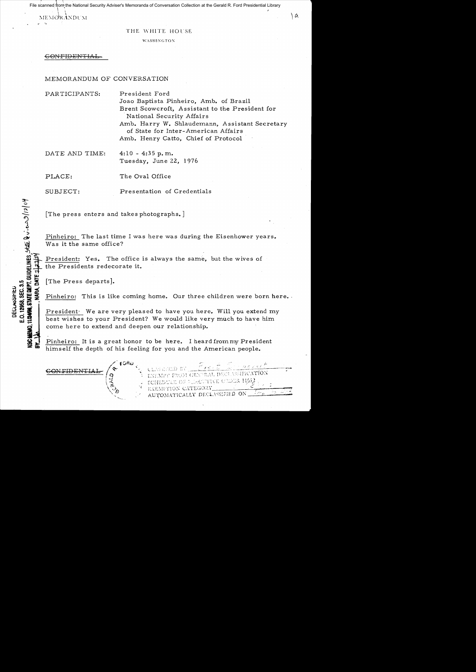File scanned from the National Security Adviser's Memoranda of Conversation Collection at the Gerald R. Ford Presidential Library

 $\vert \ \ \vert$  $\overline{\text{MEMO}}$ r $\overline{\text{ANDU}}$ m

#### THE WHITE HOUSE

۱a

**WASHINGTON** 

 $\overline{\text{COMFIDENFIAL}}$ 

### MEMORANDUM OF CONVERSATION

PAR TICIPANTS: President Ford Joao Baptista Pinheiro, Amb. of Brazil Brent Scowcroft, Assistant to the President for National Security Affairs Amb. Harry W. Shlaudemann, Assistant Secretary of State for Inter-American Affairs Amb. Henry Catto, Chief of Protocol

DATE AND TIME:  $4:10 - 4:35$  p.m. Tuesday, June 22, 1976

PLACE:

The Oval Office

SUBJECT:

Presentation of Credentials

The press enters and takes photographs.

Pinheiro: The last time I was here was during the Eisenhower years. Was it the same office?

President: Yes. The office is always the same, but the wives of the Presidents redecorate it.

[The Press departs].

Pinheiro: This is like coming home. Our three children were born here.

President· We are very pleased to have you here. Will you extend my best wishes to your President? We would like very much to have him come here to extend and deepen our relationship.

Pinheiro: It is a great honor to be here. I heard from my President himself the depth of his feeling for you and the American people.



ASSIFICATION EM GENTRAL DECL TROUTIVE ORDER 11552 SCHEDULE OF 7 EXEMPTION CATEGORY AUTOMATICALLY DECLASSIFIED ON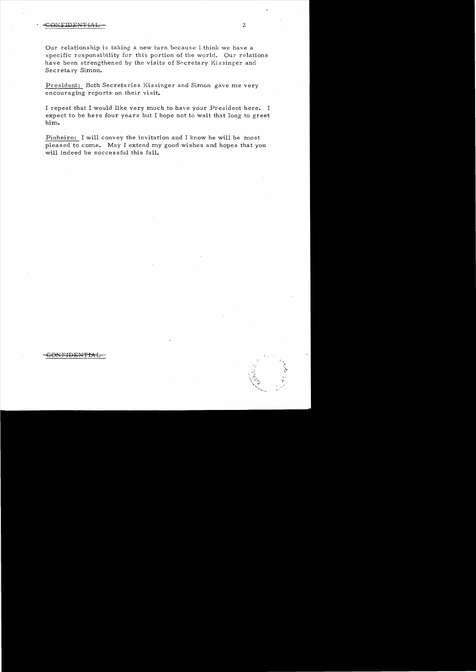Our relationship is taking a new turn because I think we have a specific responsibility for this portion of the world. Our relations have been strengthened by the visits of Secretary Kissinger and Secreta ry Simon.

President: Both Secretaries Kissinger and Simon gave me very encouraging reports on their visit.

I repeat that I would like very much to have your President here. I expect to be here four years but I hope not to wait that long to greet him.

Pinheiro: I will convey the invitation and I know he will be most pleased to come. May I extend my good wishes and hopes that you will indeed be successful this fall.

- 60NF±BEt',p:Pf~L , .

..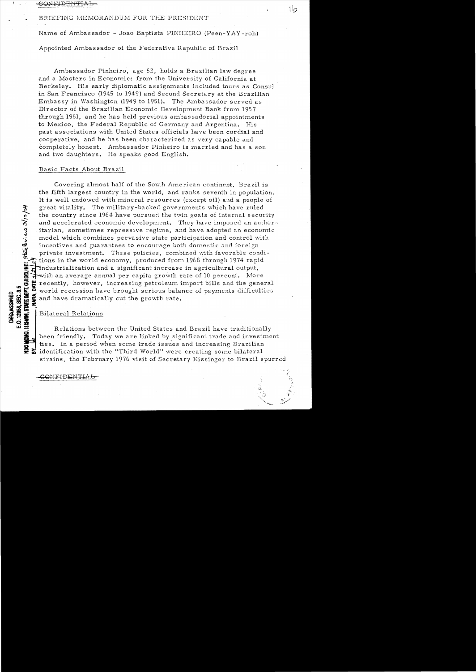# BRIEFING MEMORANDUM FOR THE PRESIDENT

Name of Ambassador - Joao Baptista PINHEIRO (Peen-YAY-roh)

Ιh

Appointed Ambassador of the Federative Republic of Brazil

Ambassador Pinheiro, age 62, holds a Brazilian law degree and a Masters in Economics from the University of California at Berkeley. His early diplomatic assignments included tours as Consul in San Francisco (1945 to 1949) and Second Secretary at the Brazilian Embassy in Washington (1949 to 1951). The Ambassador served as Director of the Brazilian Economic Development Bank from 1957 through 1961, and he has held previous ambassadorial appointments to Mexico, the Federal Republic of Germany and Argentina. His past associations with United States officials have been cordial and cooperative, and he has been characterized as very capable and completely honest. Ambassador Pinheiro is married and has a son and two daughters. He speaks good English.

#### Basic Facts About Brazil

Covering almost half of the South American continent, Brazil is the fifth largest country in the world, and ranks seventh in population. It is well endowed with mineral resources (except oil) and a people of great vitality. The military-backed governments which have ruled the country since 1964 have pursued the twin goals of internal security and accelerated economic development. They have imposed an authoritarian, sometimes repressive regime, and have adopted an economic model which combines pervasive state participation and control with incentives and guarantees to encourage both domestic and foreign private investment. These policies, combined with favorable conditions in the world economy, produced from 1968 through 1974 rapid industrialization and a significant increase in agricultural output,  $\frac{1}{2}$  with an average annual per capita growth rate of 10 percent. More recently, however, increasing petroleum import bills and the general world recession have brought serious balance of payments difficulties æ. and have dramatically cut the growth rate.

Bilateral Relations

 $str60$  cas  $3/12/54$ 

**IDELINES** 

**MI2498, STATE DEPT. GU** E.O. 12958, SEC. 3.5

DECISIONS

Relations between the United States and Brazil have traditionally been friendly. Today we are linked by significant trade and investment ties. In a period when some trade issues and increasing Brazilian identification with the "Third World" were creating some bilateral strains, the February 1976 visit of Secretary Kissinger to Brazil spurred

<del>OMLIDENTIAI</del>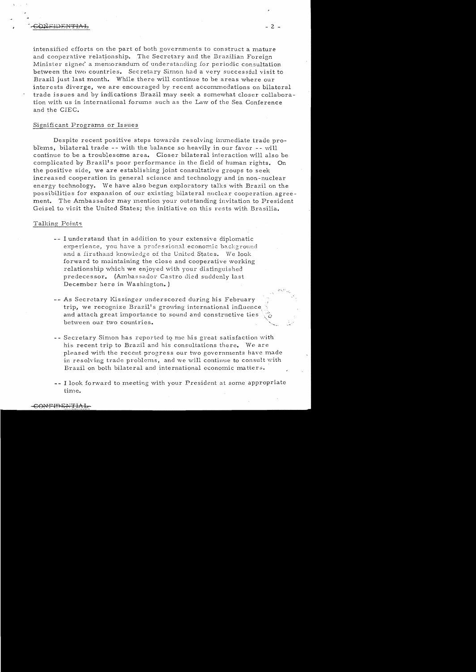intensified efforts on the part of both governments to construct a mature and cooperative relationship. The Secretary and the Brazilian Foreign Minister signed a memorandum of understanding for periodic consultation between the two countries. Secretary Simon had a very successful visit to Brazil just last month. While there will continue to be areas where our interests diverge, we are encouraged by recent accommodations on bilateral trade is sues and by indications Brazil may seek a somewhat closer collaboration with us in international forums such as the Law of the Sea Conference and the ClEC.

# Significant Programs or Is sues

Despite recent positive steps towards resolving immediate trade problems, bilateral trade -- with the balance so heavily in our favor -- will continue to be a troublesome area. Closer bilateral interaction will also be complicated by Brazil's poor performance in the field of human rights. On the positive side, we are establishing joint consultative groups to seek increased cooperation in general science and technology and in non-nuclear energy technology. We have also begun exploratory talks with Brazil on the possibilities for expansion of our existing bilateral nuclear cooperation agreement. The Ambassador may mention your outstanding invitation to President Geisel to visit the United States; the initiative on this rests with Brasilia.

# Talking Points

- -- I understand that in addition to your extensive diplomatic experience, you have a professional economic background and a firsthand knowledge of the United States. We look forward to maintaining the close and cooperative working relationship which we enjoyed with your distinguished predecessor. (Ambassador Castro died suddenly last December here in Washington. )
- As Secretary Kissinger underscored during his February trip, we recognize Brazil's growing international influence and attach great importance to sound and constructive ties between our two countries.
- -- Secretary Simon has reported to me his great satisfaction with his recent trip to Brazil and his consultations there. We are pleased with the recent progress our two governments have made in resolving trade problems, and we will continue to consult with Brazil on both bilateral and international economic matters.
- -- I look forward to meeting with your President at some appropriate. time.

<del>CONFIDENTIA</del>